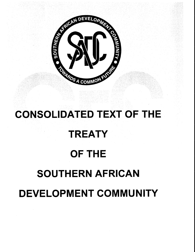# **OF THE SOUTHERN AFRICAN DEVELOPMENT COMMUNITY**

# **CONSOLIDATED TEXT OF THE**

**TREATY** 

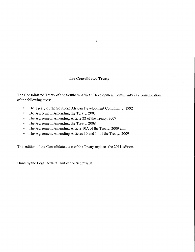#### **The Consolidated Treaty**

The Consolidated Treaty of the Southern African Development Community is a consolidation of the following texts:

- The Treaty of the Southern African Development Community, 1992
- The Agreement Amending the Treaty, 2001
- The Agreement Amending Article 22 of the Treaty, 2007
- The Agreement Amending the Treaty, 2008
- The Agreement Amending Article 10A of the Treaty, 2009 and
- The Agreement Amending Articles 10 and 14 of the Treaty, 2009

This edition of the Consolidated text of the Treaty replaces the 2011 edition.

Done by the Legal Affairs Unit of the Secretariat.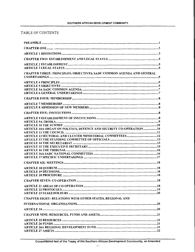#### **SOUTHERN AFRICAN DEVELOPMENT COMMUNITY**

# TABLE OF CONTENTS

| CHAPTER THREE: PRINCIPLES, OBJECTIVES, SADC COMMON AGENDA AND GENERAL |
|-----------------------------------------------------------------------|
|                                                                       |
|                                                                       |
|                                                                       |
|                                                                       |
|                                                                       |
| ARTICLE 10A ORGAN ON POLITICS, DEFENCE AND SECURITY CO-OPERATION 10   |
|                                                                       |
|                                                                       |
|                                                                       |
|                                                                       |
|                                                                       |
|                                                                       |
|                                                                       |
| <b>CHAPTER EIGHT: RELATIONS WITH OTHER STATES, REGIONAL AND</b>       |
|                                                                       |
|                                                                       |
|                                                                       |
|                                                                       |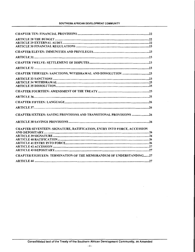#### **SOUTHERN AFRICAN DEVELOPMENT COMMUNITY**

| CHAPTER SIXTEEN: SAVING PROVISIONS AND TRANSITIONAL PROVISIONS 26       |
|-------------------------------------------------------------------------|
|                                                                         |
| CHAPTER SEVENTEEN: SIGNATURE, RATIFICATION, ENTRY INTO FORCE, ACCESSION |
|                                                                         |
|                                                                         |
|                                                                         |
|                                                                         |
|                                                                         |
| CHAPTER EIGHTEEN: TERMINATION OF THE MEMORANDUM OF UNDERSTANDING27      |
|                                                                         |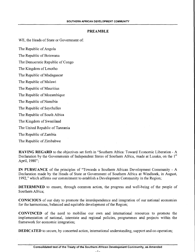#### **PREAMBLE**

WE, the Heads of State or Government of:

The Republic of Angola

The Republic of Botswana

The Democratic Republic of Congo

The Kingdom of Lesotho

The Republic of Madagascar

The Republic of Malawi

The Republic of Mauritius

The Republic of Mozambique

The Republic of Namibia

The Republic of Seychelles

The Republic of South Africa

The Kingdom of Swaziland

The United Republic of Tanzania

The Republic of Zambia

The Republic of Zimbabwe

**HAVING REGARD** to the objectives set forth in "Southern Africa: Toward Economic Liberation - A Declaration by the Governments of Independent States of Southern Africa, made at Lusaka, on the 1<sup>st</sup> April, 1980";

**IN PURSUANCE** of the principles of "Towards a Southern African Development Community - A Declaration made by the Heads of State or Government of Southern Africa at Windhoek, in August, 1992," which affirms our commitment to establish a Development Community in the Region;

**DETERMINED** to ensure, through common action, the progress and well-being of the people of Southern Africa;

CONSCIOUS of our duty to promote the interdependence and integration of our national economies for the harmonious, balanced and equitable development of the Region;

**CONVINCED** of the need to mobilise our own and international resources to promote the implementation of national, interstate and regional policies, programmes and projects within the framework for economic integration;

**DEDICATED** to secure, by concerted action, international understanding, support and co-operation;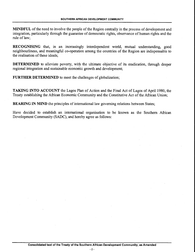MINDFUL of the need to involve the people of the Region centrally in the process of development and integration, particularly through the guarantee of democratic rights, observance of human rights and the rule of law;

RECOGNISING that, in an increasingly interdependent world, mutual understanding, good neighbourliness, and meaningful co-operation among the countries of the Region are indispensable to the realisation of these ideals;

DETERMINED to alleviate poverty, with the ultimate objective of its eradication, through deeper regional integration and sustainable economic growth and development;

FURTHER DETERMINED to meet the challenges of globalization;

TAKING INTO ACCOUNT the Lagos Plan of Action and the Final Act of Lagos of April 1980, the Treaty establishing the African Economic Community and the Constitutive Act of the African Union;

BEARING IN MIND the principles of international law governing relations between States;

Have decided to establish an international organisation to be known as the Southern African Development Community (SADC), and hereby agree as follows: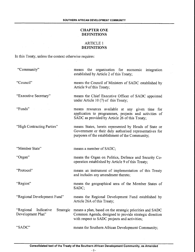# **CHAPTER ONE DEFINITIONS**

# ARTICLE 1 **DEFINITIONS**

 $\mathbb{R}^3$ 

In this Treaty, unless the context otherwise requires:

| "Community"                                               | means the organisation for economic integration<br>established by Article 2 of this Treaty;                                                                         |
|-----------------------------------------------------------|---------------------------------------------------------------------------------------------------------------------------------------------------------------------|
| "Council"                                                 | means the Council of Ministers of SADC established by<br>Article 9 of this Treaty;                                                                                  |
| "Executive Secretary"                                     | means the Chief Executive Officer of SADC appointed<br>under Article 10 (7) of this Treaty;                                                                         |
| "Funds"                                                   | means resources available at any given time for<br>application to programmes, projects and activities of<br>SADC as provided by Article 26 of this Treaty;          |
| "High Contracting Parties"                                | means States, herein represented by Heads of State or<br>Government or their duly authorised representatives for<br>purposes of the establishment of the Community; |
| "Member State"                                            | means a member of SADC;                                                                                                                                             |
| "Organ"                                                   | means the Organ on Politics, Defence and Security Co-<br>operation established by Article 9 of this Treaty;                                                         |
| "Protocol"                                                | means an instrument of implementation of this Treaty<br>and includes any amendment thereto;                                                                         |
| "Region"                                                  | means the geographical area of the Member States of<br>SADC;                                                                                                        |
| "Regional Development Fund"                               | means the Regional Development Fund established by<br>Article 26A of this Treaty;                                                                                   |
| "Regional<br>Indicative<br>Strategic<br>Development Plan" | means a plan, based on the strategic priorities and SADC<br>Common Agenda, designed to provide strategic direction<br>with respect to SADC projects and activities; |
| "SADC"                                                    | means the Southern African Development Community;                                                                                                                   |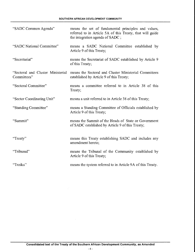| "SADC Common Agenda"                             | means the set of fundamental principles and values,<br>referred to in Article 5A of this Treaty, that will guide<br>the integration agenda of SADC; |
|--------------------------------------------------|-----------------------------------------------------------------------------------------------------------------------------------------------------|
| "SADC National Committee"                        | means a SADC National Committee established by<br>Article 9 of this Treaty;                                                                         |
| "Secretariat"                                    | means the Secretariat of SADC established by Article 9<br>of this Treaty;                                                                           |
| "Sectoral and Cluster Ministerial<br>Committees" | means the Sectoral and Cluster Ministerial Committees<br>established by Article 9 of this Treaty;                                                   |
| "Sectoral Committee"                             | means a committee referred to in Article 38 of this<br>Treaty;                                                                                      |
| "Sector Coordinating Unit"                       | means a unit referred to in Article 38 of this Treaty;                                                                                              |
| "Standing Committee"                             | means a Standing Committee of Officials established by<br>Article 9 of this Treaty;                                                                 |
| "Summit"                                         | means the Summit of the Heads of State or Government<br>of SADC established by Article 9 of this Treaty;                                            |
| "Treaty"                                         | means this Treaty establishing SADC and includes any<br>amendment hereto;                                                                           |
| "Tribunal"                                       | means the Tribunal of the Community established by<br>Article 9 of this Treaty;                                                                     |
| "Troika"                                         | means the system referred to in Article 9A of this Treaty.                                                                                          |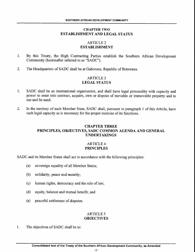# **CHAP TER TWO ESTABLISHMENT AND LEGAL STATUS**

# ARTICLE 2 **ESTABLISHMENT**

- 1. By this Treaty, the High Contracting Parties establish the Southern African Development Community (hereinafter referred to as "SADC").
- 2. The Headquarters of SADC shall be at Gaborone, Republic of Botswana.

# ARTICLE 3 **LEGAL STATUS**

- 1. SADC shall be an international organisation, and shall have legal personality with capacity and power to enter into contract, acquire, own or dispose of movable or immovable property and to sue and be sued.
- 2. In the territory of each Member State, SADC shall, pursuant to paragraph 1 of this Article, have such legal capacity as is necessary for the proper exercise of its functions.

# **CHAPTER THREE PRINCIPLES, OBJECTIVES, SADC COMMON AGENDA AND GENERAL UNDERTAKINGS**

# ARTICLE 4 **PRINCIPLES**

SADC and its Member States shall act in accordance with the following principles:

- (a) sovereign equality of all Member States;
- (b) solidarity, peace and security;
- (c) human rights, democracy and the rule of law;
- (d) equity, balance and mutual benefit; and
- (e) peaceful settlement of disputes.

# ARTICLE 5 **OBJECTIVES**

1. The objectives of SADC shall be to: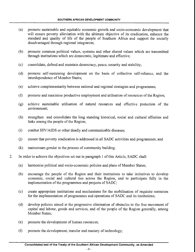- (a) promote sustainable and equitable economic growth and socio-economic development that will ensure poverty alleviation with the ultimate objective of its eradication, enhance the standard and quality of life of the people of Southern Africa and support the socially disadvantaged through regional integration;
- (b) promote common political values, systems and other shared values which are transmitted through institutions which are democratic, legitimate and effective;
- (c) consolidate, defend and maintain democracy, peace, security and stability;
- (d) promote self-sustaining development on the basis of collective self-reliance, and the interdependence of Member States;
- (e) achieve complementarity between national and regional strategies and programmes;
- (f) promote and maximise productive employment and utilisation of resources of the Region;
- (g) achieve sustainable utilisation of natural resources and effective protection of the environment;
- (h) strengthen and consolidate the long standing historical, social and cultural affinities and links among the people of the Region;
- (i) combat HIV/AIDS or other deadly and communicable diseases;
- (j) ensure that poverty eradication is addressed in all SADC activities and programmes; and
- (k) mainstream gender in the process of community building.
- 2. In order to achieve the objectives set out in paragraph 1 of this Article, SADC shall:
	- (a) harmonise political and socio-economic policies and plans of Member States;
	- (b) encourage the people of the Region and their institutions to take initiatives to develop economic, social and cultural ties across the Region, and to participate fully in the implementation of the programmes and projects of SADC;
	- (c) create appropriate institutions and mechanisms for the mobilisation of requisite resources for the implementation of programmes and operations of SADC and its institutions;
	- (d) develop policies aimed at the progressive elimination of obstacles to the free movement of capital and labour, goods and services, and of the people of the Region generally, among Member States;
	- (e) promote the development of human resources;
	- (f) promote the development, transfer and mastery of technology;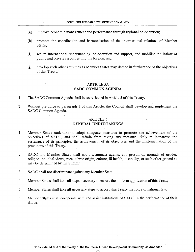- (g) improve economic management and performance through regional co-operation;
- (h) promote the coordination and harmonisation of the international relations of Member States;
- (i) secure international understanding, co-operation and support, and mobilise the inflow of public and private resources into the Region; and
- (j) develop such other activities as Member States may decide in furtherance of the objectives of this Treaty.

#### ARTICLE 5A **SADC COMMON AGENDA**

- 1. The SADC Common Agenda shall be as reflected in Article 5 of this Treaty.
- 2. Without prejudice to paragraph 1 of this Article, the Council shall develop and implement the SADC Common Agenda.

#### ARTICLE 6 **GENERAL UNDERTAKINGS**

- 1. Member States undertake to adopt adequate measures to promote the achievement of the objectives of SADC, and shall refrain from taking any measure likely to jeopardise the sustenance of its principles, the achievement of its objectives and the implementation of the provisions of this Treaty.
- 2. SADC and Member States shall not discriminate against any person on grounds of gender, religion, political views, race, ethnic origin, culture, ill health, disability, or such other ground as may be determined by the Summit.
- 3. SADC shall not discriminate against any Member State.
- 4. Member States shall take all steps necessary to ensure the uniform application of this Treaty.
- 5. Member States shall take all necessary steps to accord this Treaty the force of national law.
- 6. Member States shall co-operate with and assist institutions of SADC in the performance of their duties.

- 7 -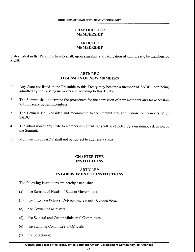# **CHAPTER FOUR MEMBERSHIP**

## ARTICLE 7 **MEMBERSHIP**

States listed in the Preamble hereto shall, upon signature and ratification of this Treaty, be members of SADC.

# ARTICLE 8 **ADMISSION OF NEW MEMBERS**

- 1. Any State not listed in the Preamble to this Treaty may become a member of SADC upon being admitted by the existing members and acceding to this Treaty.
- 2. The Summit shall determine the procedures for the admission of new members and for accession to this Treaty by such members.
- 3. The Council shall consider and recommend to the Summit any application for membership of SADC.
- 4. The admission of any State to membership of SADC shall be effected by a unanimous decision of the Summit.
- 5. Membership of SADC shall not be subject to any reservations.

# **CHAPTER FIVE INSTITUTIONS**

#### ARTICLE 9 **ESTABLISHMENT OF INSTITUTIONS**

- 1. The following institutions are hereby established:
	- (a) the Summit of Heads of State or Government;
	- (b) the Organ on Politics, Defence and Security Co-operation;
	- (c) the Council of Ministers;
	- (d) the Sectoral and Custer Ministerial Committees;
	- (e) the Standing Committee of Officials;
	- (f) the Secretariat;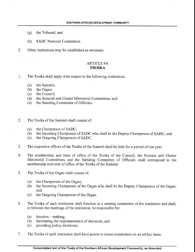- (g) the Tribunal; and
- (h) SADC National Committees.
- 2. Other institutions may be established as necessary.

# ARTICLE 9A **TROIKA**

- 1. The Troika shall apply with respect to the following institutions:
	- (a) the Summit;
	- (b) the Organ;
	- (c) the Council;
	- (d) the Sectoral and Cluster Ministerial Committees; and
	- (e) the Standing Committee of Officials.
- 2. The Troika of the Summit shall consist of:
	- (a) the Chairperson of SADC;
	- (b) the Incoming Chairperson of SADC who shall be the Deputy Chairperson of SADC; and
	- (c) the Outgoing Chairperson of SADC.
- 3. The respective offices of the Troika of the Summit shall be held for a period of one year.
- 4. The membership and term of office of the Troika of the Council, the Sectoral and Cluster Ministerial Committees and the Standing Committee of Officials shall correspond to the membership and term of office of the Troika of the Summit.
- 5. The Troika of the Organ shall consist of:
	- (a) the Chairperson of the Organ;
	- (b) the Incoming Chairperson of the Organ who shall be the Deputy Chairperson of the Organ; and
	- (c) the Outgoing Chairperson of the Organ.
- 6. The Troika of each institution shall function as a steering committee of the institution and shall, in between the meetings of the institution, be responsible for:
	- (a) decision making;
	- (b) facilitating the implementation of decisions; and
	- (c) providing policy directions.
- 7. The Troika of each institution shall have power to create committees on an ad hoc basis.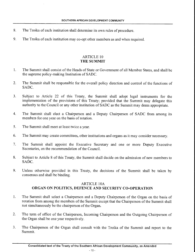- 8. The Troika of each institution shall determine its own rules of procedure.
- 9. The Troika of each institution may co-opt other members as and when required.

#### ARTICLE 10 THE SUMMIT

- 1. The Summit shall consist of the Heads of State or Government of all Member States, and shall be the supreme policy-making Institution of SADC.
- 2. The Summit shall be responsible for the overall policy direction and control of the functions of SADC.
- 3. Subject to Article 22 of this Treaty, the Summit shall adopt legal instruments for the implementation of the provisions of this Treaty; provided that the Summit may delegate this authority to the Council or any other institution of SADC as the Summit may deem appropriate.
- 4. The Summit shall elect a Chairperson and a Deputy Chairperson of SADC from among its members for one year on the basis of rotation.
- 5. The Summit shall meet at least twice a year.
- 6. The Summit may create committees, other institutions and organs as it may consider necessary.
- 7. The Summit shall appoint the Executive Secretary and one or more Deputy Executive Secretaries, on the recommendation of the Council.
- 8. Subject to Article 8 of this Treaty, the Summit shall decide on the admission of new members to SADC.
- 9. Unless otherwise provided in this Treaty, the decisions of the Summit shall be taken by consensus and shall be binding.

#### ARTICLE 10A

# ORGAN ON POLITICS, DEFENCE AND SECURITY CO-OPERATION

- 1. The Summit shall select a Chairperson and a Deputy Chairperson of the Organ on the basis of rotation from among the members of the Summit except that the Chairperson of the Summit shall not simultaneously be the chairperson of the Organ.
- 2. The term of office of the Chairperson, Incoming Chairperson and the Outgoing Chairperson of the Organ shall be one year respectively.
- 3. The Chairperson of the Organ shall consult with the Troika of the Summit and report to the Summit.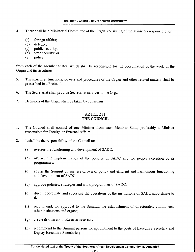- 4. There shall be a Ministerial Committee of the Organ, consisting of the Ministers responsible for:
	- (a) foreign affairs;
	- (b) defence;
	- (c) public security;
	- (d) state security; or
	- (e) police

from each of the Member States, which shall be responsible for the coordination of the work of the Organ and its structures.

- 5. The structure, functions, powers and procedures of the Organ and other related matters shall be prescribed in a Protocol.
- 6. The Secretariat shall provide Secretariat services to the Organ.
- 7. Decisions of the Organ shall be taken by consensus.

# ARTICLE 11 **THE COUNCIL**

- 1. The Council shall consist of one Minister from each Member State, preferably a Minister responsible for Foreign or External Affairs.
- 2. It shall be the responsibility of the Council to:
	- (a) oversee the functioning and development of SADC;
	- (b) oversee the implementation of the policies of SADC and the proper execution of its programmes;
	- (c) advise the Summit on matters of overall policy and efficient and harmonious functioning and development of SADC;
	- (d) approve policies, strategies and work programmes of SADC;
	- (e) direct, coordinate and supervise the operations of the institutions of SADC subordinate to it;
	- (f) recommend, for approval to the Summit, the establishment of directorates, committees, other institutions and organs;
	- (g) create its own committees as necessary;
	- (h) recommend to the Summit persons for appointment to the posts of Executive Secretary and Deputy Executive Secretaries;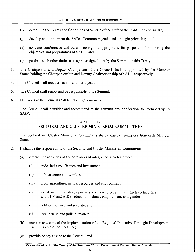- $(i)$ determine the Terms and Conditions of Service of the staff of the institutions of SADC;
- develop and implement the SADC Common Agenda and strategic priorities;  $(i)$
- (k) convene conferences and other meetings as appropriate, for purposes of promoting the objectives and programmes of SADC; and
- (1) perform such other duties as may be assigned to it by the Summit or this Treaty.
- 3. The Chairperson and Deputy Chairperson of the Council shall be appointed by the Member States holding the Chairpersonship and Deputy Chairpersonship of SADC respectively.
- 4. The Council shall meet at least four times a year.
- 5. The Council shall report and be responsible to the Summit.
- 6. Decisions of the Council shall be taken by consensus.
- 7. The Council shall consider and recommend to the Summit any application for membership to SADC.

## ARTICLE 12 **SECTORAL AND CLUSTER MINISTERIAL COMMITTEES**

- 1. The Sectoral and Cluster Ministerial Committees shall consist of ministers from each Member State.
- 2. It shall be the responsibility of the Sectoral and Cluster Ministerial Committees to:
	- (a) oversee the activities of the core areas of integration which include:
		- (i) trade, industry, finance and investment;
		- (ii) infrastructure and services;
		- (iii) food, agriculture, natural resources and environment;
		- (iv) social and human development and special programmes, which include: health and HIV and AIDS; education; labour; employment; and gender;
		- (v) politics, defence and security; and
		- (vi) legal affairs and judicial matters;
	- (b) monitor and control the implementation of the Regional Indicative Strategic Development Plan in its area of competence;
	- (c) provide policy advice to the Council; and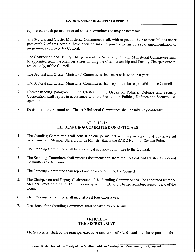- (d) create such permanent or ad hoc subcommittees as may be necessary.
- 3. The Sectoral and Cluster Ministerial Committees shall, with respect to their responsibilities under paragraph 2 of this Article, have decision making powers to ensure rapid implementation of programmes approved by Council.
- 4. The Chairperson and Deputy Chairperson of the Sectoral or Cluster Ministerial Committees shall be appointed from the Member States holding the Chairpersonship and Deputy Chairpersonship, respectively, of the Council.
- 5. The Sectoral and Cluster Ministerial Committees shall meet at least once a year.
- 6. The Sectoral and Cluster Ministerial Committees shall report and be responsible to the Council.
- 7. Notwithstanding paragraph 6, the Cluster for the Organ on Politics, Defence and Security Cooperation shall report in accordance with the Protocol on Politics, Defence and Security Cooperation.
- 8. Decisions of the Sectoral and Cluster Ministerial Committees shall be taken by consensus.

#### ARTICLE 13 **THE STANDING COMMITTEE OF OFFICIALS**

- 1. The Standing Committee shall consist of one permanent secretary or an official of equivalent rank from each Member State, from the Ministry that is the SADC National Contact Point.
- 2. The Standing Committee shall be a technical advisory committee to the Council.
- 3. The Standing Committee shall process documentation from the Sectoral and Cluster Ministerial Committees to the Council.
- 4. The Standing Committee shall report and be responsible to the Council.
- 5. The Chairperson and Deputy Chairperson of the Standing Committee shall be appointed from the Member States holding the Chairpersonship and the Deputy Chairpersonship, respectively, of the Council.
- 6. The Standing Committee shall meet at least four times a year.
- 7. Decisions of the Standing Committee shall be taken by consensus.

#### ARTICLE 14 **THE SECRETARIAT**

1. The Secretariat shall be the principal executive institution of SADC, and shall be responsible for: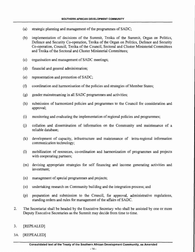- (a) strategic planning and management of the programmes of SADC;
- (b) implementation of decisions of the Summit, Troika of the Summit, Organ on Politics, Defence and Security Co-operation, Troika of the Organ on Politics, Defence and Security Co-operation, Council, Troika of the Council, Sectoral and Cluster Ministerial Committees and Troika of the Sectoral and Cluster Ministerial Committees;
- (c) organisation and management of SADC meetings;
- (d) financial and general administration;
- (e) representation and promotion of SADC;
- (f) coordination and harmonisation of the policies and strategies of Member States;
- (g) gender mainstreaming in all SADC programmes and activities;
- (h) submission of harmonized policies and programmes to the Council for consideration and approval;
- (i) monitoring and evaluating the implementation of regional policies and programmes;
- (i) collation and dissemination of information on the Community and maintenance of a reliable database;
- (k) development of capacity, infrastructure and maintenance of intra-regional information communication technology;
- (1) mobilization of resources, co-ordination and harmonization of programmes and projects with cooperating partners;
- (m) devising appropriate strategies for self financing and income generating activities and investment;
- (n) management of special programmes and projects;
- (o) undertaking research on Community building and the integration process; and
- (p) preparation and submission to the Council, for approval, administrative regulations, standing orders and rules for management of the affairs of SADC.
- 2. The Secretariat shall be headed by the Executive Secretary who shall be assisted by one or more Deputy Executive Secretaries as the Summit may decide from time to time.
- 3. [REPEALED]
- 3A. [REPEALED]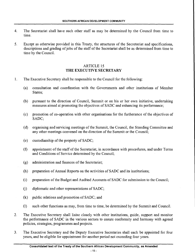- 4. The Secretariat shall have such other staff as may be determined by the Council from time to time.
- 5. Except as otherwise provided in this Treaty, the structures of the Secretariat and specifications, descriptions and grading of jobs of the staff of the Secretariat shall be as determined from time to time by the Council.

# ARTICLE 15 **THE EXECUTIVE SECRETARY**

- **1.** The Executive Secretary shall be responsible to the Council for the following:
	- (a) consultation and coordination with the Governments and other institutions of Member States;
	- (b) pursuant to the direction of Council, Summit or on his or her own initiative, undertaking measures aimed at promoting the objectives of SADC and enhancing its performance;
	- (c) promotion of co-operation with other organisations for the furtherance of the objectives of SADC;
	- (d) organising and servicing meetings of the Summit, the Council, the Standing Committee and any other meetings convened on the direction of the Summit or the Council;
	- (e) custodianship of the property of SADC;
	- (f) appointment of the staff of the Secretariat, in accordance with procedures, and under Terms and Conditions of Service determined by the Council;
	- (g) administration and finances of the Secretariat;
	- (h) preparation of Annual Reports on the activities of SADC and its institutions;
	- (i) preparation of the Budget and Audited Accounts of SADC for submission to the Council;
	- (j) diplomatic and other representations of SADC;
	- (k) public relations and promotion of SADC; and
	- (1) such other functions as may, from time to time, be determined by the Summit and Council.
- 2. The Executive Secretary shall liaise closely with other institutions, guide, support and monitor the performance of SADC in the various sectors to ensure conformity and harmony with agreed policies, strategies, programmes and projects.
- 3. The Executive Secretary and the Deputy Executive Secretaries shall each be appointed for four years, and be eligible for appointment for another period not exceeding four years.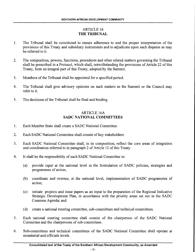# ARTICLE 16 **THE TRIBUNAL**

- 1. The Tribunal shall be constituted to ensure adherence to and the proper interpretation of the provisions of this Treaty and subsidiary instruments and to adjudicate upon such disputes as may be referred to it.
- 2. The composition, powers, functions, procedures and other related matters governing the Tribunal shall be prescribed in a Protocol, which shall, notwithstanding the provisions of Article 22 of this Treaty, form an integral part of this Treaty, adopted by the Summit.
- 3. Members of the Tribunal shall be appointed for a specified period.
- 4. The Tribunal shall give advisory opinions on such matters as the Summit or the Council may refer to it.
- 5. The decisions of the Tribunal shall be final and binding.

# ARTICLE 16A **SADC NATIONAL COMMITTEES**

- 1. Each Member State shall create a SADC National Committee.
- 2. Each SADC National Committee shall consist of key stakeholders.
- 3. Each SADC National Committee shall, in its composition, reflect the core areas of integration and coordination referred to in paragraph 2 of Article 12 of this Treaty.
- **4.** It shall be the responsibility of each SADC National Committee to:
	- (a) provide input at the national level in the formulation of SADC policies, strategies and programmes of action;
	- (b) coordinate and oversee, at the national level, implementation of SADC programmes of action;
	- (c) initiate projects and issue papers as an input to the preparation of the Regional Indicative Strategic Development Plan, in accordance with the priority areas set out in the SADC Common Agenda; and
	- (d) create a national steering committee, sub-committees and technical committees.
- 5. Each national steering committee shall consist of the chairperson of the SADC National Committee and the chairpersons of sub-committees.
- 6. Sub-committees and technical committees of the SADC National Committee shall operate at ministerial and officials levels.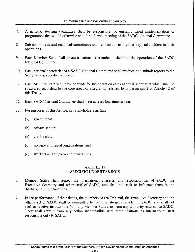- 7. A national steering committee shall be responsible for ensuring rapid implementation of programmes that would otherwise wait for a formal meeting of the SADC National Committee.
- 8. Sub-committees and technical committees shall endeavour to involve key stakeholders in their operations.
- 9. Each Member State shall create a national secretariat to facilitate the operation of the SADC National Committee.
- 10. Each national secretariat of a SADC National Committee shall produce and submit reports to the Secretariat at specified intervals.
- 11. Each Member State shall provide funds for the operation of its national secretariat which shall be structured according to the core areas of integration referred to in paragraph 2 of Article 12 of this Treaty.
- 12. Each SADC National Committee shall meet at least four times a year.
- 13. For purposes of this Article, key stakeholders include:
	- (a) government;
	- (b) private sector;
	- (c) civil society;
	- (d) non-governmental organizations; and
	- (e) workers and employers organizations.

#### ARTICLE 17 SPECIFIC UNDERTAKINGS

- 1. Member States shall respect the international character and responsibilities of SADC, the Executive Secretary and other staff of SADC, and shall not seek to influence them in the discharge of their functions.
- 2. In the performance of their duties, the members of the Tribunal, the Executive Secretary and the other staff of SADC shall be committed to the international character of SADC, and shall not seek or receive instructions from any Member States, or from any authority external to SADC. They shall refrain from any action incompatible with their positions as international staff responsible only to SADC.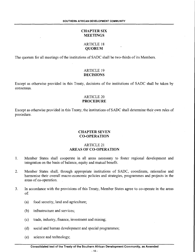#### **CHAPTER SIX MEETINGS**

#### ARTICLE 18 **QUORUM**

The quorum for all meetings of the institutions of SADC shall be two-thirds of its Members.

# ARTICLE 19 **DECISIONS**

Except as otherwise provided in this Treaty, decisions of the institutions of SADC shall be taken by consensus.

#### ARTICLE 20 **PROCEDURE**

Except as otherwise provided in this Treaty, the institutions of SADC shall determine their own rules of procedure.

#### **CHAPTER SEVEN CO-OPERATION**

# ARTICLE 21 **AREAS OF CO-OPERATION**

- 1. Member States shall cooperate in all areas necessary to foster regional development and integration on the basis of balance, equity and mutual benefit.
- 2. Member States shall, through appropriate institutions of SADC, coordinate, rationalise and harmonise their overall macro-economic policies and strategies, programmes and projects in the areas of co-operation.
- 3. In accordance with the provisions of this Treaty, Member States agree to co-operate in the areas of:
	- (a) food security, land and agriculture;
	- (b) infrastructure and services;
	- (c) trade, industry, finance, investment and mining;
	- (d) social and human development and special programmes;
	- (e) science and technology;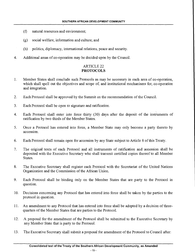- (f) natural resources and environment;
- (g) social welfare, information and culture; and
- (h) politics, diplomacy, international relations, peace and security.
- 4. Additional areas of co-operation may be decided upon by the Council.

# ARTICLE 22 **PROTOCOLS**

- 1. Member States shall conclude such Protocols as may be necessary in each area of co-operation, which shall spell out the objectives and scope of, and institutional mechanisms for, co-operation and integration.
- 2. Each Protocol shall be approved by the Summit on the recommendation of the Council.
- 3. Each Protocol shall be open to signature and ratification.
- 4. Each Protocol shall enter into force thirty (30) days after the deposit of the instruments of ratification by two thirds of the Member States.
- 5. Once a Protocol has entered into force, a Member State may only become a party thereto by accession.
- 6. Each Protocol shall remain open for accession by any State subject to Article 8 of this Treaty.
- 7. The original texts of each Protocol and all instruments of ratification and accession shall be deposited with the Executive Secretary who shall transmit certified copies thereof to all Member States.
- 8. The Executive Secretary shall register each Protocol with the Secretariat of the United Nations Organization and the Commission of the African Union.
- 9. Each Protocol shall be binding only on the Member States that are party to the Protocol in question.
- 10. Decisions concerning any Protocol that has entered into force shall be taken by the parties to the protocol in question.
- 11. An amendment to any Protocol that has entered into force shall be adopted by a decision of threequarters of the Member States that are parties to the Protocol.
- 12. A proposal for the amendment of the Protocol shall be submitted to the Executive Secretary by any Member State that is party to the Protocol.
- 13. The Executive Secretary shall submit a proposal for amendment of the Protocol to Council after: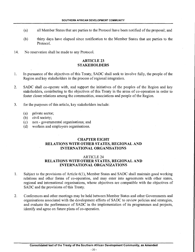- (a) all Member States that are parties to the Protocol have been notified of the proposal; and
- (b) thirty days have elapsed since notification to the Member States that are parties to the Protocol.
- 14. No reservation shall be made to any Protocol.

#### **ARTICLE 23 STAKEHOLDERS**

- 1. In pursuance of the objectives of this Treaty, SADC shall seek to involve fully, the people of the Region and key stakeholders in the process of regional integration.
- 2. SADC shall co-operate with, and support the initiatives of the peoples of the Region and key stakeholders, contributing to the objectives of this Treaty in the areas of co-operation in order to foster closer relations among the communities, associations and people of the Region.
- 3. for the purposes of this article, key stakeholders include:
	- (a) private sector;
	- (b) civil society;
	- (c) non governmental organisations; and
	- (d) workers and employers organisations.

#### **CHAPTER EIGHT RELATIONS WITH OTHER STATES, REGIONAL AND INTERNATIONAL ORGANISATIONS**

#### ARTICLE 24 **RELATIONS WITH OTHER STATES, REGIONAL AND INTERNATIONAL ORGANIZATIONS**

- 1. Subject to the provisions of Article 6(1), Member States and SADC shall maintain good working relations and other forms of co-operation, and may enter into agreements with other states, regional and international organisations, whose objectives are compatible with the objectives of SADC and the provisions of this Treaty.
- 2. Conferences and other meetings may be held between Member States and other Governments and organisations associated with the development efforts of SADC to review policies and strategies, and evaluate the performance of SADC in the implementation of its programmes and projects, identify and agree on future plans of co-operation.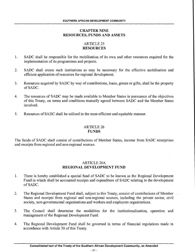# **CHAPTER NINE RESOURCES, FUNDS AND ASSETS**

# ARTICLE 25 **RESOURCES**

- 1. SADC shall be responsible for the mobilisation of its own and other resources required for the implementation of its programmes and projects.
- 2. SADC shall create such institutions as may be necessary for the effective mobilisation and efficient application of resources for regional development.
- 3. Resources acquired by SADC by way of contributions, loans, grants or gifts, shall be the property of SADC.
- 4. The resources of SADC may be made available to Member States in pursuance of the objectives of this Treaty, on terms and conditions mutually agreed between SADC and the Member States involved.
- 5. Resources of SADC shall be utilised in the most efficient and equitable manner.

# ARTICLE 26 **FUNDS**

**The** funds of SADC shall consist of contributions of Member States, income from SADC enterprises and receipts from regional and non-regional sources.

# ARTICLE 26A **REGIONAL DEVELOPMENT FUND**

- 1. There is hereby established a special fund of SADC to be known as the Regional Development Fund in which shall be accounted receipts and expenditure of SADC relating to the development of SADC.
- 2. The Regional Development Fund shall, subject to this Treaty, consist of contributions of Member States and receipts from regional and non-regional sources, including the private sector, civil society, non-governmental organisations and workers and employers organisations.
- 3. The Council shall determine the modalities for the institutionalization, operation and management of the Regional Development Fund.
- 4. The Regional Development Fund shall be governed in terms of financial regulations made in accordance with Article 30 of this Treaty.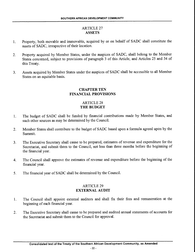# ARTICLE 27 **ASSETS**

- 1. Property, both movable and immovable, acquired by or on behalf of SADC shall constitute the assets of SADC, irrespective of their location.
- 2. Property acquired by Member States, under the auspices of SADC, shall belong to the Member States concerned, subject to provisions of paragraph 3 of this Article, and Articles 25 and 34 of this Treaty.
- 3. Assets acquired by Member States under the auspices of SADC shall be accessible to all Member States on an equitable basis.

#### **CHAPTER TEN FINANCIAL PROVISIONS**

# ARTICLE 28 **THE BUDGET**

- 1. The budget of SADC shall be funded by financial contributions made by Member States, and such other sources as may be determined by the Council.
- 2. Member States shall contribute to the budget of SADC based upon a formula agreed upon by the Summit.
- 3. The Executive Secretary shall cause to be prepared, estimates of revenue and expenditure for the Secretariat, and submit them to the Council, not less than three months before the beginning of the financial year.
- 4. The Council shall approve the estimates of revenue and expenditure before the beginning of the financial year.
- 5. The financial year of SADC shall be determined by the Council.

#### ARTICLE 29 **EXTERNAL AUDIT**

- 1. The Council shall appoint external auditors and shall fix their fees and remuneration at the beginning of each financial year.
- 2. The Executive Secretary shall cause to be prepared and audited annual statements of accounts for the Secretariat and submit them to the Council for approval.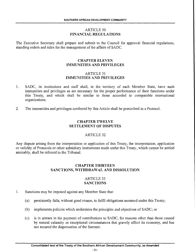#### ARTICLE 30 **FINANCIAL REGULATIONS**

The Executive Secretary shall prepare and submit to the Council for approval financial regulations, standing orders and rules for the management of the affairs of SADC.

#### **CHAPTER ELEVEN IMMUNITIES AND PRIVILEGES**

#### ARTICLE 31 **IMMUNITIES AND PRIVILEGES**

- 1. SADC, its institutions and staff shall, in the territory of each Member State, have such immunities and privileges as are necessary for the proper performance of their functions under this Treaty, and which shall be similar to those accorded to comparable international organisations.
- 2. The immunities and privileges conferred by this Article shall be prescribed in a Protocol.

#### **CHAPTER TWELVE SETTLEMENT OF DISPUTES**

#### ARTICLE 32

Any dispute arising from the interpretation or application of this Treaty, the interpretation, application or validity of Protocols or other subsidiary instruments made under this Treaty, which cannot be settled amicably, shall be referred to the Tribunal.

# **CHAPTER THIRTEEN SANCTIONS, WITHDRAWAL AND DISSOLUTION**

#### ARTICLE 33 **SANCTIONS**

- 1. Sanctions may be imposed against any Member State that:
	- (a) persistently fails, without good reason, to fulfil obligations assumed under this Treaty;
	- (b) implements policies which undermine the principles and objectives of SADC; or
	- (c) is in arrears in the payment of contributions to SADC, for reasons other than those caused by natural calamity or exceptional circumstances that gravely affect its economy, and has not secured the dispensation of the Summit.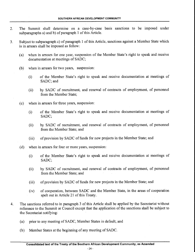- 2. The Summit shall determine on a case-by-case basis sanctions to be imposed under subparagraphs a) and b) of paragraph 1 of this Article.
- 3. Subject to subparagraph c) of paragraph 1 of this Article, sanctions against a Member State which is in arrears shall be imposed as follow:
	- (a) when in arrears for one year, suspension of the Member State's right to speak and receive documentation at meetings of SADC;
	- (b) when in arrears for two years, suspension:
		- (i) of the Member State's right to speak and receive documentation at meetings of SADC; and
		- (ii) by SADC of recruitment, and renewal of contracts of employment, of personnel from the Member State;
	- (c) when in arrears for three years, suspension:
		- (i) of the Member State's right to speak and receive documentation at meetings of SADC;
		- (ii) by SADC of recruitment, and renewal of contracts of employment, of personnel from the Member State; and
		- (iii) of provision by SADC of funds for new projects in the Member State; and
	- (d) when in arrears for four or more years, suspension:
		- (i) of the Member State's right to speak and receive documentation at meetings of SADC;
		- (ii) by SADC of recruitment, and renewal of contracts of employment, of personnel from the Member State; and
		- (iii) of provision by SADC of funds for new projects in the Member State; and
		- (iv) of cooperation, between SADC and the Member State, in the areas of cooperation spelt out in Article 21 of this Treaty.
- 4. The sanctions referred to in paragraph 3 of this Article shall be applied by the Secretariat without reference to the Summit or Council except that the application of the sanctions shall be subject to the Secretariat notifying:
	- (a) prior to any meeting of SADC, Member States in default; and
	- (b) Member States at the beginning of any meeting of SADC.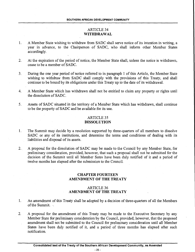# ARTICLE 34 **WITHDRAWAL**

- 1. A Member State wishing to withdraw from SADC shall serve notice of its intention in writing, a year in advance, to the Chairperson of SADC, who shall inform other Member States accordingly.
- 2. At the expiration of the period of notice, the Member State shall, unless the notice is withdrawn, cease to be a member of SADC.
- 3. During the one year period of notice referred to in paragraph 1 of this Article, the Member State wishing to withdraw from SADC shall comply with the provisions of this Treaty, and shall continue to be bound by its obligations under this Treaty up to the date of its withdrawal.
- 4. A Member State which has withdrawn shall not be entitled to claim any property or rights until the dissolution of SADC.
- 5. Assets of SADC situated in the territory of a Member State which has withdrawn, shall continue to be the property of SADC and be available for its use.

#### ARTICLE 35 **DISSOLUTION**

- 1. The Summit may decide by a resolution supported by three-quarters of all members to dissolve SADC or any of its institutions, and determine the terms and conditions of dealing with its liabilities and disposal of its assets.
- 2. A proposal for the dissolution of SADC may be made to the Council by any Member State, for preliminary consideration, provided, however, that such a proposal shall not be submitted for the decision of the- Summit until all Member Sates have been duly notified of it and a period of twelve months has elapsed after the submission to the Council.

# **CHAPTER FOURTEEN AMENDMENT OF THE TREATY**

#### ARTICLE 36 **AMENDMENT OF THE TREATY**

- 1. An amendment of this Treaty shall be adopted by a decision of three-quarters of all the Members of the Summit.  $\sqrt{ }$
- 2. A proposal for the amendment of this Treaty may be made to the Executive Secretary by any Member State for preliminary consideration by the Council, provided, however, that the proposed amendment shall not be submitted to the Council for preliminary consideration until all Member States have been duly notified of it, and a period of three months has elapsed after such notification.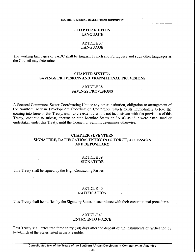# **CHAPTER FIFTEEN LANGUAGE**

#### ARTICLE 37 **LANGUAGE**

The working languages of SADC shall be English, French and Portuguese and such other languages as the Council may determine.

#### **CHAPTER SIXTEEN SAVINGS PROVISIONS AND TRANSITIONAL PROVISIONS**

#### ARTICLE 38 **SAVINGS PROVISIONS**

A Sectoral Committee, Sector Coordinating Unit or any other institution, obligation or arrangement of the Southern African Development Coordination Conference which exists immediately before the coming into force of this Treaty, shall to the extent that it is not inconsistent with the provisions of this Treaty, continue to subsist, operate or bind Member States or SADC as if it were established or undertaken under this Treaty, until the Council or Summit determines otherwise.

#### **CHAPTER SEVENTEEN SIGNATURE, RATIFICATION, ENTRY INTO FORCE, ACCESSION AND DEPOSITARY**

#### ARTICLE 39 **SIGNATURE**

This Treaty shall be signed by the High Contracting Parties.

#### ARTICLE 40 **RATIFICATION**

This Treaty shall be ratified by the Signatory States in accordance with their constitutional procedures.

#### ARTICLE 41 **ENTRY INTO FORCE**

This Treaty shall enter into force thirty (30) days after the deposit of the instruments of ratification by two-thirds of the States listed in the Preamble.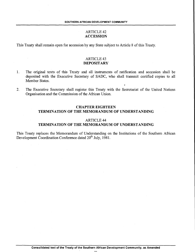#### ARTICLE 42 **ACCESSION**

This Treaty shall remain open for accession by any State subject to Article 8 of this Treaty.

#### ARTICLE 43 **DEPOSITARY**

- 1. The original texts of this Treaty and all instruments of ratification and accession shall be deposited with the Executive Secretary of SADC, who shall transmit certified copies to all Member States.
- 2. The Executive Secretary shall register this Treaty with the Secretariat of the United Nations Organisation and the Commission of the African Union.

# **CHAPTER EIGHTEEN TERMINATION OF THE MEMORANDUM OF UNDERSTANDING**

#### ARTICLE 44

#### **TERMINATION OF THE MEMORANDUM OF UNDERSTANDING**

This Treaty replaces the Memorandum of Understanding on the Institutions of the Southern African Development Coordination Conference dated 20<sup>th</sup> July, 1981.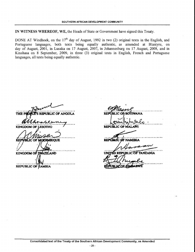**IN WITNESS WHEREOF, WE,** the Heads of State or Government have signed this Treaty.

DONE AT Windhoek, on the  $17<sup>th</sup>$  day of August, 1992 in two (2) original texts in the English, and Portuguese languages, both texts being equally authentic, as amended at Blantyre, on day of August, 2001, in Lusaka on 17 August, 2007, in Johannesburg on 17 August, 2008, and in Kinshasa on 8 September, 2009, in three (3) original texts in English, French and Portuguese languages, all texts being equally authentic.

**THE!** REPUBLIC OF ANGOLA **KINGDOM OF LESOTHO MOZAMBIOUE DEDI KINGDOM OF** SWAZILAND **REPUBLIC OF** FAMBIA.

RFI **REPUBLIC** REPUBLIC OF NAMIBIA unitéd republ TANZANIA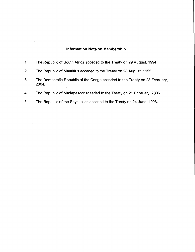# **Information Note on Membership**

- 1. The Republic of South Africa acceded to the Treaty on 29 August, 1994.
- 2. The Republic of Mauritius acceded to the Treaty on 28 August, 1995.
- 3. The Democratic Republic of the Congo acceded to the Treaty on 28 February, 2004.
- 4. The Republic of Madagascar acceded to the Treaty on 21 February, 2006.
- 5. The Republic of the Seychelles acceded to the Treaty on 24 June, 1998.